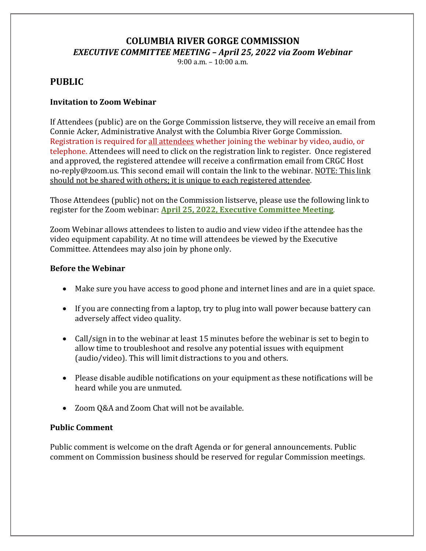# **COLUMBIA RIVER GORGE COMMISSION** *EXECUTIVE COMMITTEE MEETING – April 25, 2022 via Zoom Webinar*

9:00 a.m. – 10:00 a.m.

# **PUBLIC**

## **Invitation to Zoom Webinar**

If Attendees (public) are on the Gorge Commission listserve, they will receive an email from Connie Acker, Administrative Analyst with the Columbia River Gorge Commission. Registration is required for all attendees whether joining the webinar by video, audio, or telephone. Attendees will need to click on the registration link to register. Once registered and approved, the registered attendee will receive a confirmation email from CRGC Host no-reply@zoom.us. This second email will contain the link to the webinar. NOTE: This link should not be shared with others; it is unique to each registered attendee.

Those Attendees (public) not on the Commission listserve, please use the following link to register for the Zoom webinar: **April [25, 2022, Executive Committee Meeting](https://us02web.zoom.us/webinar/register/WN_LQWurHuqSEKviclM6Rfp9A)**.

Zoom Webinar allows attendees to listen to audio and view video if the attendee has the video equipment capability. At no time will attendees be viewed by the Executive Committee. Attendees may also join by phone only.

#### **Before the Webinar**

- Make sure you have access to good phone and internet lines and are in a quiet space.
- If you are connecting from a laptop, try to plug into wall power because battery can adversely affect video quality.
- Call/sign in to the webinar at least 15 minutes before the webinar is set to begin to allow time to troubleshoot and resolve any potential issues with equipment (audio/video). This will limit distractions to you and others.
- Please disable audible notifications on your equipment as these notifications will be heard while you are unmuted.
- Zoom Q&A and Zoom Chat will not be available.

#### **Public Comment**

Public comment is welcome on the draft Agenda or for general announcements. Public comment on Commission business should be reserved for regular Commission meetings.